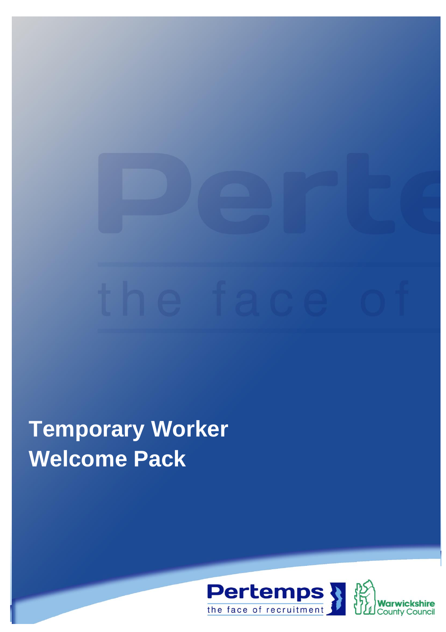# **Temporary Worker Welcome Pack**



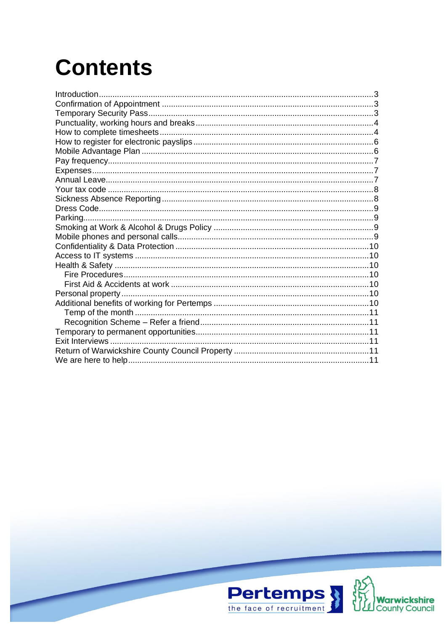# **Contents**

| Introduction |  |
|--------------|--|
|              |  |
|              |  |
|              |  |
|              |  |
|              |  |
|              |  |
|              |  |
|              |  |
|              |  |
|              |  |
|              |  |
|              |  |
|              |  |
|              |  |
|              |  |
|              |  |
|              |  |
|              |  |
|              |  |
|              |  |
|              |  |
|              |  |
|              |  |
|              |  |
|              |  |
|              |  |
|              |  |
|              |  |

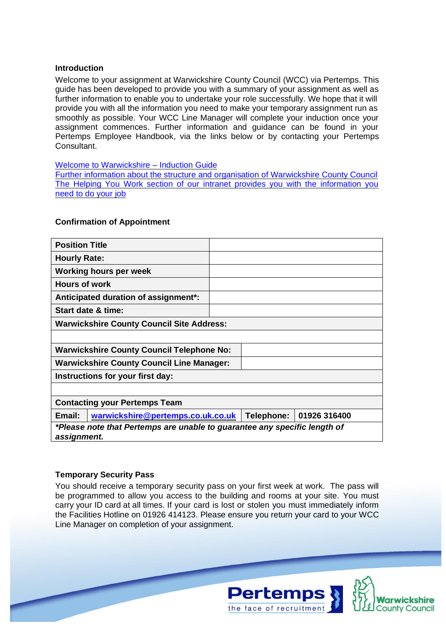# <span id="page-2-0"></span>**Introduction**

Welcome to your assignment at Warwickshire County Council (WCC) via Pertemps. This guide has been developed to provide you with a summary of your assignment as well as further information to enable you to undertake your role successfully. We hope that it will provide you with all the information you need to make your temporary assignment run as smoothly as possible. Your WCC Line Manager will complete your induction once your assignment commences. Further information and guidance can be found in your Pertemps Employee Handbook, via the links below or by contacting your Pertemps Consultant.

# [Welcome to Warwickshire –](http://www.warwickshire.gov.uk/induction) Induction Guide

[Further information about the structure and organisation of Warwickshire County Council](http://www.warwickshire.gov.uk/organisation) [The Helping You Work section of our intranet provides you with the information you](http://intranet.warwickshire.gov.uk/helpingyouwork/Pages/default.aspx)  [need to do your job](http://intranet.warwickshire.gov.uk/helpingyouwork/Pages/default.aspx)

# <span id="page-2-1"></span>**Confirmation of Appointment**

| <b>Position Title</b>                                                                    |  |            |              |  |  |  |
|------------------------------------------------------------------------------------------|--|------------|--------------|--|--|--|
| <b>Hourly Rate:</b>                                                                      |  |            |              |  |  |  |
| Working hours per week                                                                   |  |            |              |  |  |  |
| <b>Hours of work</b>                                                                     |  |            |              |  |  |  |
| Anticipated duration of assignment*:                                                     |  |            |              |  |  |  |
| Start date & time:                                                                       |  |            |              |  |  |  |
| <b>Warwickshire County Council Site Address:</b>                                         |  |            |              |  |  |  |
|                                                                                          |  |            |              |  |  |  |
| <b>Warwickshire County Council Telephone No:</b>                                         |  |            |              |  |  |  |
| <b>Warwickshire County Council Line Manager:</b>                                         |  |            |              |  |  |  |
| Instructions for your first day:                                                         |  |            |              |  |  |  |
|                                                                                          |  |            |              |  |  |  |
| <b>Contacting your Pertemps Team</b>                                                     |  |            |              |  |  |  |
| Email:<br>warwickshire@pertemps.co.uk.co.uk                                              |  | Telephone: | 01926 316400 |  |  |  |
| *Please note that Pertemps are unable to guarantee any specific length of<br>assignment. |  |            |              |  |  |  |

# <span id="page-2-2"></span>**Temporary Security Pass**

You should receive a temporary security pass on your first week at work. The pass will be programmed to allow you access to the building and rooms at your site. You must carry your ID card at all times. If your card is lost or stolen you must immediately inform the Facilities Hotline on 01926 414123. Please ensure you return your card to your WCC Line Manager on completion of your assignment.

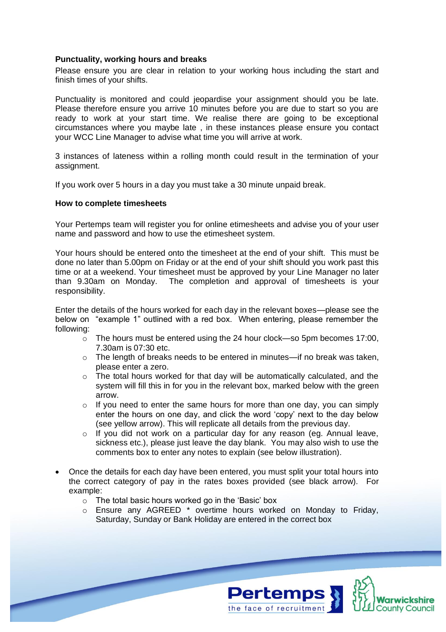### <span id="page-3-0"></span>**Punctuality, working hours and breaks**

Please ensure you are clear in relation to your working hous including the start and finish times of your shifts.

Punctuality is monitored and could jeopardise your assignment should you be late. Please therefore ensure you arrive 10 minutes before you are due to start so you are ready to work at your start time. We realise there are going to be exceptional circumstances where you maybe late , in these instances please ensure you contact your WCC Line Manager to advise what time you will arrive at work.

3 instances of lateness within a rolling month could result in the termination of your assignment.

<span id="page-3-1"></span>If you work over 5 hours in a day you must take a 30 minute unpaid break.

#### **How to complete timesheets**

Your Pertemps team will register you for online etimesheets and advise you of your user name and password and how to use the etimesheet system.

Your hours should be entered onto the timesheet at the end of your shift. This must be done no later than 5.00pm on Friday or at the end of your shift should you work past this time or at a weekend. Your timesheet must be approved by your Line Manager no later than 9.30am on Monday. The completion and approval of timesheets is your responsibility.

Enter the details of the hours worked for each day in the relevant boxes—please see the below on "example 1" outlined with a red box. When entering, please remember the following:

- o The hours must be entered using the 24 hour clock—so 5pm becomes 17:00, 7.30am is 07:30 etc.
- o The length of breaks needs to be entered in minutes—if no break was taken, please enter a zero.
- $\circ$  The total hours worked for that day will be automatically calculated, and the system will fill this in for you in the relevant box, marked below with the green arrow.
- o If you need to enter the same hours for more than one day, you can simply enter the hours on one day, and click the word 'copy' next to the day below (see yellow arrow). This will replicate all details from the previous day.
- o If you did not work on a particular day for any reason (eg. Annual leave, sickness etc.), please just leave the day blank. You may also wish to use the comments box to enter any notes to explain (see below illustration).
- Once the details for each day have been entered, you must split your total hours into the correct category of pay in the rates boxes provided (see black arrow). For example:
	- o The total basic hours worked go in the 'Basic' box
	- o Ensure any AGREED \* overtime hours worked on Monday to Friday, Saturday, Sunday or Bank Holiday are entered in the correct box



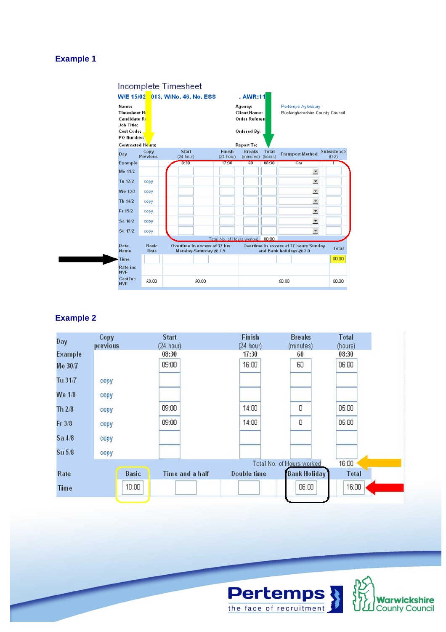# **Example 1**



# **Example 2**

| Day            | Copy<br>previous | <b>Start</b><br>(24 hour) | Finish<br>(24 hour) | <b>Breaks</b><br>(minutes) | <b>Total</b><br>(hours) |
|----------------|------------------|---------------------------|---------------------|----------------------------|-------------------------|
| <b>Example</b> |                  | 08:30                     | 17:30               | 60                         | 08:30                   |
| Mo 30/7        |                  | 09:00                     | 16:00               | 60                         | 06:00                   |
| Tu 31/7        | copy             |                           |                     |                            |                         |
| We 1/8         | copy             |                           |                     |                            |                         |
| Th $2/8$       | copy             | 09:00                     | 14:00               | 0                          | 05:00                   |
| $Fr$ 3/8       | copy             | 09:00                     | 14:00               | 0                          | 05:00                   |
| $Sa$ $4/8$     | copy             |                           |                     |                            |                         |
| Su 5/8         | copy             |                           |                     |                            |                         |
|                |                  |                           |                     | Total No. of Hours worked  | 16:00                   |
| Rate           | <b>Basic</b>     | Time and a half           | Double time         | <b>Bank Holiday</b>        | <b>Total</b>            |
| <b>Time</b>    | 10:00            |                           |                     | 06:00                      | 16:00                   |
|                |                  |                           |                     |                            |                         |

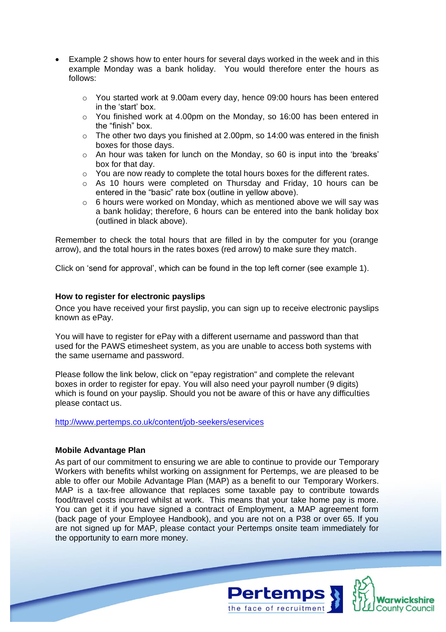- Example 2 shows how to enter hours for several days worked in the week and in this example Monday was a bank holiday. You would therefore enter the hours as follows:
	- $\circ$  You started work at 9.00am every day, hence 09:00 hours has been entered in the 'start' box.
	- $\circ$  You finished work at 4.00pm on the Monday, so 16:00 has been entered in the "finish" box.
	- o The other two days you finished at 2.00pm, so 14:00 was entered in the finish boxes for those days.
	- $\circ$  An hour was taken for lunch on the Monday, so 60 is input into the 'breaks' box for that day.
	- o You are now ready to complete the total hours boxes for the different rates.
	- $\circ$  As 10 hours were completed on Thursday and Friday, 10 hours can be entered in the "basic" rate box (outline in yellow above).
	- $\circ$  6 hours were worked on Monday, which as mentioned above we will say was a bank holiday; therefore, 6 hours can be entered into the bank holiday box (outlined in black above).

Remember to check the total hours that are filled in by the computer for you (orange arrow), and the total hours in the rates boxes (red arrow) to make sure they match.

Click on 'send for approval', which can be found in the top left corner (see example 1).

# <span id="page-5-0"></span>**How to register for electronic payslips**

Once you have received your first payslip, you can sign up to receive electronic payslips known as ePay.

You will have to register for ePay with a different username and password than that used for the PAWS etimesheet system, as you are unable to access both systems with the same username and password.

Please follow the link below, click on "epay registration" and complete the relevant boxes in order to register for epay. You will also need your payroll number (9 digits) which is found on your payslip. Should you not be aware of this or have any difficulties please contact us.

<http://www.pertemps.co.uk/content/job-seekers/eservices>

#### <span id="page-5-1"></span>**Mobile Advantage Plan**

As part of our commitment to ensuring we are able to continue to provide our Temporary Workers with benefits whilst working on assignment for Pertemps, we are pleased to be able to offer our Mobile Advantage Plan (MAP) as a benefit to our Temporary Workers. MAP is a tax-free allowance that replaces some taxable pay to contribute towards food/travel costs incurred whilst at work. This means that your take home pay is more. You can get it if you have signed a contract of Employment, a MAP agreement form (back page of your Employee Handbook), and you are not on a P38 or over 65. If you are not signed up for MAP, please contact your Pertemps onsite team immediately for the opportunity to earn more money.

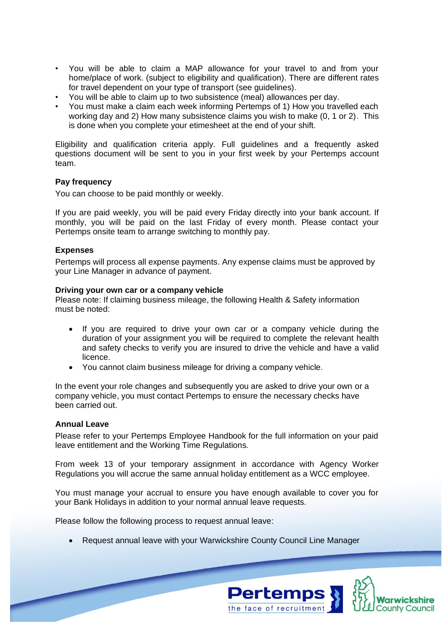- You will be able to claim a MAP allowance for your travel to and from your home/place of work. (subject to eligibility and qualification). There are different rates for travel dependent on your type of transport (see guidelines).
- You will be able to claim up to two subsistence (meal) allowances per day.
- You must make a claim each week informing Pertemps of 1) How you travelled each working day and 2) How many subsistence claims you wish to make (0, 1 or 2). This is done when you complete your etimesheet at the end of your shift.

Eligibility and qualification criteria apply. Full guidelines and a frequently asked questions document will be sent to you in your first week by your Pertemps account team.

# <span id="page-6-0"></span>**Pay frequency**

You can choose to be paid monthly or weekly.

If you are paid weekly, you will be paid every Friday directly into your bank account. If monthly, you will be paid on the last Friday of every month. Please contact your Pertemps onsite team to arrange switching to monthly pay.

# <span id="page-6-1"></span>**Expenses**

Pertemps will process all expense payments. Any expense claims must be approved by your Line Manager in advance of payment.

#### **Driving your own car or a company vehicle**

Please note: If claiming business mileage, the following Health & Safety information must be noted:

- If you are required to drive your own car or a company vehicle during the duration of your assignment you will be required to complete the relevant health and safety checks to verify you are insured to drive the vehicle and have a valid licence.
- You cannot claim business mileage for driving a company vehicle.

In the event your role changes and subsequently you are asked to drive your own or a company vehicle, you must contact Pertemps to ensure the necessary checks have been carried out.

#### <span id="page-6-2"></span>**Annual Leave**

Please refer to your Pertemps Employee Handbook for the full information on your paid leave entitlement and the Working Time Regulations.

From week 13 of your temporary assignment in accordance with Agency Worker Regulations you will accrue the same annual holiday entitlement as a WCC employee.

You must manage your accrual to ensure you have enough available to cover you for your Bank Holidays in addition to your normal annual leave requests.

Please follow the following process to request annual leave:

• Request annual leave with your Warwickshire County Council Line Manager



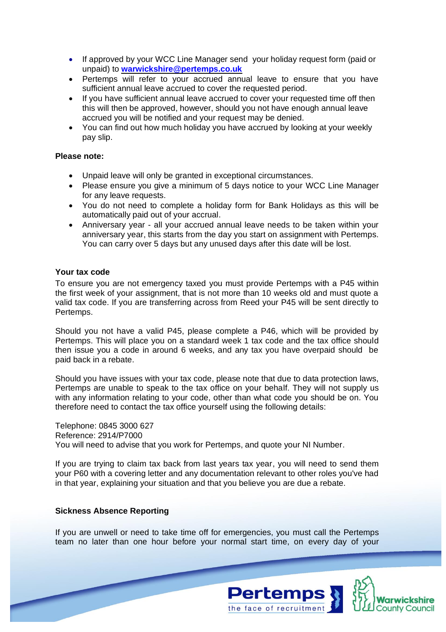- If approved by your WCC Line Manager send your holiday request form (paid or unpaid) to **[warwickshire@pertemps.co.uk](mailto:warwickshire@pertemps.co.uk)**
- Pertemps will refer to your accrued annual leave to ensure that you have sufficient annual leave accrued to cover the requested period.
- If you have sufficient annual leave accrued to cover your requested time off then this will then be approved, however, should you not have enough annual leave accrued you will be notified and your request may be denied.
- You can find out how much holiday you have accrued by looking at your weekly pay slip.

# **Please note:**

- Unpaid leave will only be granted in exceptional circumstances.
- Please ensure you give a minimum of 5 days notice to your WCC Line Manager for any leave requests.
- You do not need to complete a holiday form for Bank Holidays as this will be automatically paid out of your accrual.
- Anniversary year all your accrued annual leave needs to be taken within your anniversary year, this starts from the day you start on assignment with Pertemps. You can carry over 5 days but any unused days after this date will be lost.

# <span id="page-7-0"></span>**Your tax code**

To ensure you are not emergency taxed you must provide Pertemps with a P45 within the first week of your assignment, that is not more than 10 weeks old and must quote a valid tax code. If you are transferring across from Reed your P45 will be sent directly to Pertemps.

Should you not have a valid P45, please complete a P46, which will be provided by Pertemps. This will place you on a standard week 1 tax code and the tax office should then issue you a code in around 6 weeks, and any tax you have overpaid should be paid back in a rebate.

Should you have issues with your tax code, please note that due to data protection laws, Pertemps are unable to speak to the tax office on your behalf. They will not supply us with any information relating to your code, other than what code you should be on. You therefore need to contact the tax office yourself using the following details:

Telephone: 0845 3000 627 Reference: 2914/P7000 You will need to advise that you work for Pertemps, and quote your NI Number.

If you are trying to claim tax back from last years tax year, you will need to send them your P60 with a covering letter and any documentation relevant to other roles you've had in that year, explaining your situation and that you believe you are due a rebate.

### <span id="page-7-1"></span>**Sickness Absence Reporting**

If you are unwell or need to take time off for emergencies, you must call the Pertemps team no later than one hour before your normal start time, on every day of your

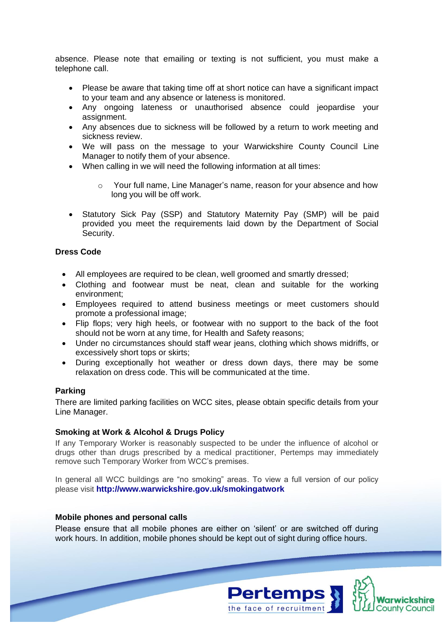absence. Please note that emailing or texting is not sufficient, you must make a telephone call.

- Please be aware that taking time off at short notice can have a significant impact to your team and any absence or lateness is monitored.
- Any ongoing lateness or unauthorised absence could jeopardise your assignment.
- Any absences due to sickness will be followed by a return to work meeting and sickness review.
- We will pass on the message to your Warwickshire County Council Line Manager to notify them of your absence.
- When calling in we will need the following information at all times:
	- o Your full name, Line Manager's name, reason for your absence and how long you will be off work.
- Statutory Sick Pay (SSP) and Statutory Maternity Pay (SMP) will be paid provided you meet the requirements laid down by the Department of Social Security.

# <span id="page-8-0"></span>**Dress Code**

- All employees are required to be clean, well groomed and smartly dressed;
- Clothing and footwear must be neat, clean and suitable for the working environment;
- Employees required to attend business meetings or meet customers should promote a professional image;
- Flip flops; very high heels, or footwear with no support to the back of the foot should not be worn at any time, for Health and Safety reasons;
- Under no circumstances should staff wear jeans, clothing which shows midriffs, or excessively short tops or skirts;
- During exceptionally hot weather or dress down days, there may be some relaxation on dress code. This will be communicated at the time.

# <span id="page-8-1"></span>**Parking**

There are limited parking facilities on WCC sites, please obtain specific details from your Line Manager.

#### <span id="page-8-2"></span>**Smoking at Work & Alcohol & Drugs Policy**

If any Temporary Worker is reasonably suspected to be under the influence of alcohol or drugs other than drugs prescribed by a medical practitioner, Pertemps may immediately remove such Temporary Worker from WCC's premises.

In general all WCC buildings are "no smoking" areas. To view a full version of our policy please visit **http://www.warwickshire.gov.uk/smokingatwork**

#### <span id="page-8-3"></span>**Mobile phones and personal calls**

Please ensure that all mobile phones are either on 'silent' or are switched off during work hours. In addition, mobile phones should be kept out of sight during office hours.

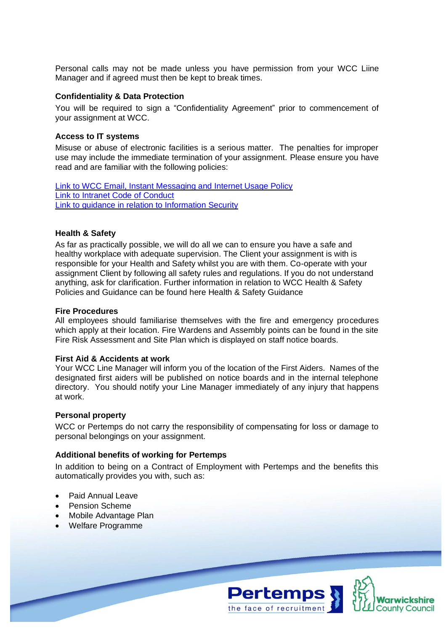Personal calls may not be made unless you have permission from your WCC Liine Manager and if agreed must then be kept to break times.

#### <span id="page-9-0"></span>**Confidentiality & Data Protection**

You will be required to sign a "Confidentiality Agreement" prior to commencement of your assignment at WCC.

# <span id="page-9-1"></span>**Access to IT systems**

Misuse or abuse of electronic facilities is a serious matter. The penalties for improper use may include the immediate termination of your assignment. Please ensure you have read and are familiar with the following policies:

[Link to WCC Email, Instant Messaging and Internet Usage Policy](http://intranet.warwickshire.gov.uk/SiteCollectionDocuments/ICT/EmailandInternetCode.pdf) [Link to Intranet Code of Conduct](http://intranet.warwickshire.gov.uk/SiteCollectionDocuments/ICT/WCC_IntranetCodeofConduct_RevisedJune2010.pdf) [Link to guidance in relation to Information Security](http://www.warwickshire.gov.uk/informationsecurity)

# <span id="page-9-2"></span>**Health & Safety**

As far as practically possible, we will do all we can to ensure you have a safe and healthy workplace with adequate supervision. The Client your assignment is with is responsible for your Health and Safety whilst you are with them. Co-operate with your assignment Client by following all safety rules and regulations. If you do not understand anything, ask for clarification. Further information in relation to WCC Health & Safety Policies and Guidance can be found here Health & Safety Guidance

# <span id="page-9-3"></span>**Fire Procedures**

All employees should familiarise themselves with the fire and emergency procedures which apply at their location. Fire Wardens and Assembly points can be found in the site Fire Risk Assessment and Site Plan which is displayed on staff notice boards.

#### <span id="page-9-4"></span>**First Aid & Accidents at work**

Your WCC Line Manager will inform you of the location of the First Aiders. Names of the designated first aiders will be published on notice boards and in the internal telephone directory. You should notify your Line Manager immediately of any injury that happens at work.

#### <span id="page-9-5"></span>**Personal property**

WCC or Pertemps do not carry the responsibility of compensating for loss or damage to personal belongings on your assignment.

# <span id="page-9-6"></span>**Additional benefits of working for Pertemps**

In addition to being on a Contract of Employment with Pertemps and the benefits this automatically provides you with, such as:

- Paid Annual Leave
- Pension Scheme
- Mobile Advantage Plan
- Welfare Programme